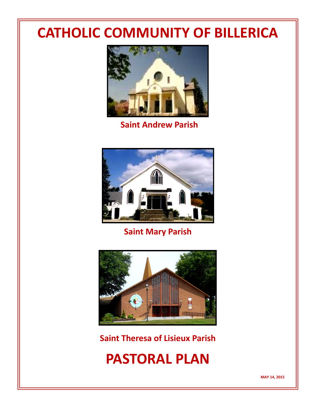# **CATHOLIC COMMUNITY OF BILLERICA**



**Saint Andrew Parish**



**Saint Mary Parish**



**Saint Theresa of Lisieux Parish**

**PASTORAL PLAN**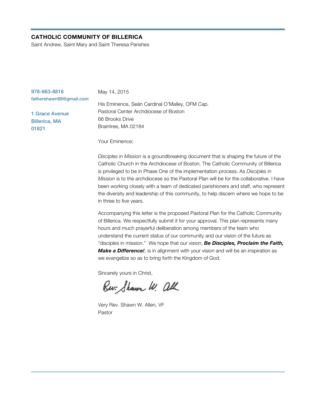#### **CATHOLIC COMMUNITY OF BILLERICA**

Saint Andrew, Saint Mary and Saint Theresa Parishes

| May 14, 2015                                   |
|------------------------------------------------|
|                                                |
| His Eminence, Seán Cardinal O'Malley, OFM Cap. |
| Pastoral Center Archdiocese of Boston          |
| 66 Brooks Drive                                |
| Braintree, MA 02184                            |
|                                                |

Your Eminence;

*Disciples in Mission* is a groundbreaking document that is shaping the future of the Catholic Church in the Archdiocese of Boston. The Catholic Community of Billerica is privileged to be in Phase One of the implementation process. As *Disciples in Mission* is to the archdiocese so the Pastoral Plan will be for the collaborative. I have been working closely with a team of dedicated parishioners and staff, who represent the diversity and leadership of this community, to help discern where we hope to be in three to five years.

Accompanying this letter is the proposed Pastoral Plan for the Catholic Community of Billerica. We respectfully submit it for your approval. This plan represents many hours and much prayerful deliberation among members of the team who understand the current status of our community and our vision of the future as "disciples in mission." We hope that our vision, *Be Disciples, Proclaim the Faith, Make a Difference!*, is in alignment with your vision and will be an inspiration as we evangelize so as to bring forth the Kingdom of God.

Sincerely yours in Christ,

Rw. Shawn W. all

Very Rev. Shawn W. Allen, VF Pastor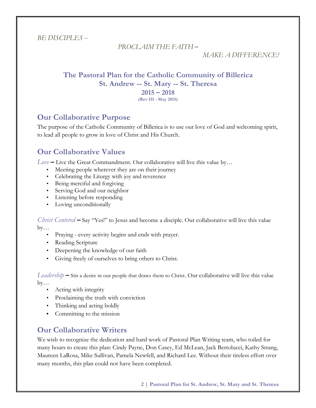*BE DISCIPLES –*

```
PROCLAIM THE FAITH –
```
*MAKE A DIFFERENCE!*

# **The Pastoral Plan for the Catholic Community of Billerica St. Andrew -- St. Mary -- St. Theresa 2015 – 2018**

**(Rev III - May 2015)**

# **Our Collaborative Purpose**

The purpose of the Catholic Community of Billerica is to use our love of God and welcoming spirit, to lead all people to grow in love of Christ and His Church.

# **Our Collaborative Values**

*Love* **–** Live the Great Commandment. Our collaborative will live this value by…

- Meeting people wherever they are on their journey
- Celebrating the Liturgy with joy and reverence
- Being merciful and forgiving
- Serving God and our neighbor
- Listening before responding
- Loving unconditionally

*Christ Centered* **–** Say "Yes!" to Jesus and become a disciple. Our collaborative will live this value  $by...$ 

- Praying every activity begins and ends with prayer.
- Reading Scripture
- Deepening the knowledge of our faith
- Giving freely of ourselves to bring others to Christ.

*Leadership* **–** Stir a desire in our people that draws them to Christ. Our collaborative will live this value  $by...$ 

- Acting with integrity
- Proclaiming the truth with conviction
- Thinking and acting boldly
- Committing to the mission

# **Our Collaborative Writers**

We wish to recognize the dedication and hard work of Pastoral Plan Writing team, who toiled for many hours to create this plan: Cindy Payne, Don Casey, Ed McLean, Jack Bertolucci, Kathy Strang, Maureen LaRosa, Mike Sullivan, Pamela Newfell, and Richard Lee. Without their tireless effort over many months, this plan could not have been completed.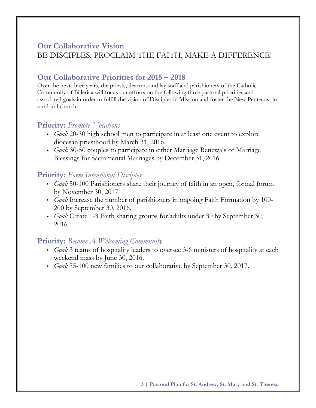## **Our Collaborative Vision**

## BE DISCIPLES, PROCLAIM THE FAITH, MAKE A DIFFERENCE!

# **Our Collaborative Priorities for 2015 – 2018**

Over the next three years, the priests, deacons and lay staff and parishioners of the Catholic Community of Billerica will focus our efforts on the following three pastoral priorities and associated goals in order to fulfill the vision of Disciples in Mission and foster the New Pentecost in our local church.

### **Priority:** *Promote Vocations*

- *• Goal:* 20-30 high school men to participate in at least one event to explore diocesan priesthood by March 31, 2016.
- *• Goal***:** 30-50 couples to participate in either Marriage Renewals or Marriage Blessings for Sacramental Marriages by December 31, 2016

### **Priority:** *Form Intentional Disciples*

- *• Goal:* 50-100 Parishioners share their journey of faith in an open, formal forum by November 30, 2017
- *• Goal:* Increase the number of parishioners in ongoing Faith Formation by 100- 200 by September 30, 2016.
- *• Goal:* Create 1-3 Faith sharing groups for adults under 30 by September 30, 2016.

### **Priority:** *Become A Welcoming Community*

- *• Goal:* 3 teams of hospitality leaders to oversee 3-6 ministers of hospitality at each weekend mass by June 30, 2016.
- *• Goal:* 75-100 new families to our collaborative by September 30, 2017.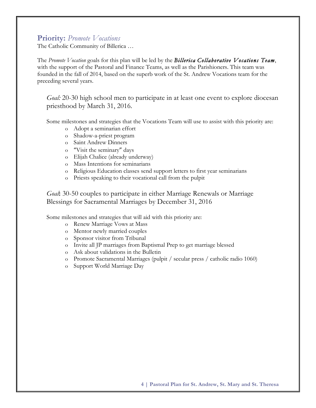### **Priority:** *Promote Vocations*

The Catholic Community of Billerica …

The *Promote Vocation* goals for this plan will be led by the *Billerica Collaborative Vocations Team*, with the support of the Pastoral and Finance Teams, as well as the Parishioners. This team was founded in the fall of 2014, based on the superb work of the St. Andrew Vocations team for the preceding several years.

*Goal:* 20-30 high school men to participate in at least one event to explore diocesan priesthood by March 31, 2016.

Some milestones and strategies that the Vocations Team will use to assist with this priority are:

- o Adopt a seminarian effort
- o Shadow-a-priest program
- o Saint Andrew Dinners
- o "Visit the seminary" days
- o Elijah Chalice (already underway)
- o Mass Intentions for seminarians
- o Religious Education classes send support letters to first year seminarians
- o Priests speaking to their vocational call from the pulpit

*Goal***:** 30-50 couples to participate in either Marriage Renewals or Marriage Blessings for Sacramental Marriages by December 31, 2016

Some milestones and strategies that will aid with this priority are:

- o Renew Marriage Vows at Mass
- o Mentor newly married couples
- o Sponsor visitor from Tribunal
- o Invite all JP marriages from Baptismal Prep to get marriage blessed
- o Ask about validations in the Bulletin
- o Promote Sacramental Marriages (pulpit / secular press / catholic radio 1060)
- o Support World Marriage Day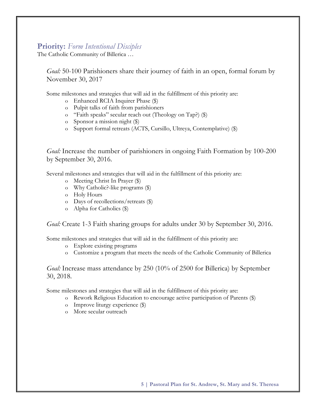### **Priority:** *Form Intentional Disciples*

The Catholic Community of Billerica …

*Goal:* 50-100 Parishioners share their journey of faith in an open, formal forum by November 30, 2017

Some milestones and strategies that will aid in the fulfillment of this priority are:

- o Enhanced RCIA Inquirer Phase (\$)
- o Pulpit talks of faith from parishioners
- o "Faith speaks" secular reach out (Theology on Tap?) (\$)
- o Sponsor a mission night (\$)
- o Support formal retreats (ACTS, Cursillo, Ultreya, Contemplative) (\$)

*Goal:* Increase the number of parishioners in ongoing Faith Formation by 100-200 by September 30, 2016.

Several milestones and strategies that will aid in the fulfillment of this priority are:

- o Meeting Christ In Prayer (\$)
- o Why Catholic?-like programs (\$)
- o Holy Hours
- o Days of recollections/retreats (\$)
- o Alpha for Catholics (\$)

*Goal:* Create 1-3 Faith sharing groups for adults under 30 by September 30, 2016.

Some milestones and strategies that will aid in the fulfillment of this priority are:

- o Explore existing programs
- o Customize a program that meets the needs of the Catholic Community of Billerica

*Goal:* Increase mass attendance by 250 (10% of 2500 for Billerica) by September 30, 2018.

Some milestones and strategies that will aid in the fulfillment of this priority are:

- o Rework Religious Education to encourage active participation of Parents (\$)
- o Improve liturgy experience (\$)
- o More secular outreach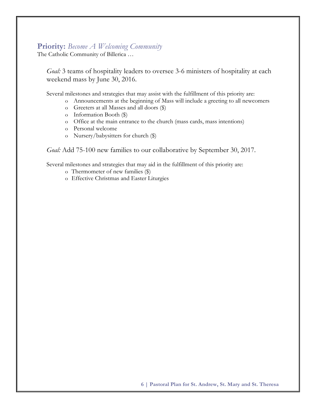### **Priority:** *Become A Welcoming Community*

The Catholic Community of Billerica …

*Goal:* 3 teams of hospitality leaders to oversee 3-6 ministers of hospitality at each weekend mass by June 30, 2016.

Several milestones and strategies that may assist with the fulfillment of this priority are:

- o Announcements at the beginning of Mass will include a greeting to all newcomers
	- o Greeters at all Masses and all doors (\$)
	- o Information Booth (\$)
	- o Office at the main entrance to the church (mass cards, mass intentions)
	- o Personal welcome
	- o Nursery/babysitters for church (\$)

*Goal:* Add 75-100 new families to our collaborative by September 30, 2017.

Several milestones and strategies that may aid in the fulfillment of this priority are:

- o Thermometer of new families (\$)
- o Effective Christmas and Easter Liturgies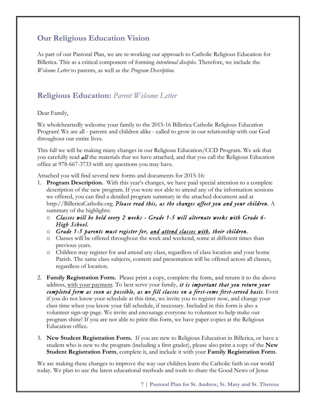# **Our Religious Education Vision**

As part of our Pastoral Plan, we are re-working our approach to Catholic Religious Education for Billerica. This as a critical component of forming *intentional disciples*. Therefore, we include the *Welcome Letter* to parents, as well as the *Program Description*.

# **Religious Education:** *Parent Welcome Letter*

### Dear Family,

We wholeheartedly welcome your family to the 2015-16 Billerica Catholic Religious Education Program! We are all - parents and children alike - called to grow in our relationship with our God throughout our entire lives.

This fall we will be making many changes in our Religious Education/CCD Program. We ask that you carefully read *all* the materials that we have attached, and that you call the Religious Education office at 978-667-3733 with any questions you may have.

Attached you will find several new forms and documents for 2015-16:

- 1. **Program Description.** With this year's changes, we have paid special attention to a complete description of the new program. If you were not able to attend any of the information sessions we offered, you can find a detailed program summary in the attached document and at http://BillericaCatholic.org. *Please read this, as the changes affect you and your children.* A summary of the highlights:
	- o *Classes will be held every 2 weeks Grade 1-5 will alternate weeks with Grade 6- High School.*
	- o *Grade 1-5 parents must register for, and attend classes with, their children.*
	- o Classes will be offered throughout the week and weekend, some at different times than previous years.
	- o Children may register for and attend any class, regardless of class location and your home Parish. The same class subjects, content and presentation will be offered across all classes, regardless of location.
- 2. **Family Registration Form.** Please print a copy, complete the form, and return it to the above address, with your payment. To best serve your family, *it is important that you return your completed form as soon as possible, as we fill classes on a first-come first-served basis*. Even if you do not know your schedule at this time, we invite you to register now, and change your class time when you know your fall schedule, if necessary. Included in this form is also a volunteer sign-up page. We invite and encourage everyone to volunteer to help make our program shine! If you are not able to print this form, we have paper copies at the Religious Education office.
- 3. **New Student Registration Form.** If you are new to Religious Education in Billerica, or have a student who is new to the program (including a first grader), please also print a copy of the **New Student Registration Form**, complete it, and include it with your **Family Registration Form**.

We are making these changes to improve the way our children learn the Catholic faith in our world today. We plan to use the latest educational methods and tools to share the Good News of Jesus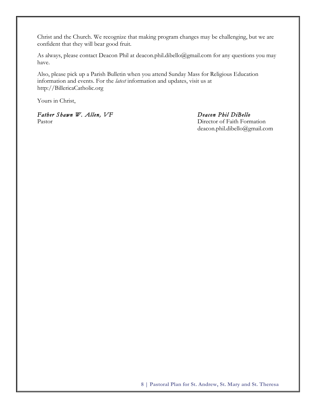Christ and the Church. We recognize that making program changes may be challenging, but we are confident that they will bear good fruit.

As always, please contact Deacon Phil at deacon.phil.dibello@gmail.com for any questions you may have.

Also, please pick up a Parish Bulletin when you attend Sunday Mass for Religious Education information and events. For the *latest* information and updates, visit us at http://BillericaCatholic.org

Yours in Christ,

*Father Shawn W. Allen, VF Deacon Phil DiBello* Pastor Director of Faith Formation

deacon.phil.dibello@gmail.com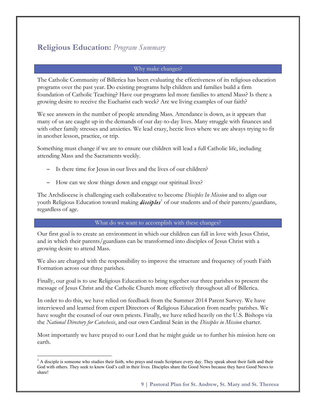# **Religious Education:** *Program Summary*

#### Why make changes?

The Catholic Community of Billerica has been evaluating the effectiveness of its religious education programs over the past year. Do existing programs help children and families build a firm foundation of Catholic Teaching? Have our programs led more families to attend Mass? Is there a growing desire to receive the Eucharist each week? Are we living examples of our faith?

We see answers in the number of people attending Mass. Attendance is down, as it appears that many of us are caught up in the demands of our day-to-day lives. Many struggle with finances and with other family stresses and anxieties. We lead crazy, hectic lives where we are always trying to fit in another lesson, practice, or trip.

Something must change if we are to ensure our children will lead a full Catholic life, including attending Mass and the Sacraments weekly.

- − Is there time for Jesus in our lives and the lives of our children?
- − How can we slow things down and engage our spiritual lives?

The Archdiocese is challenging each collaborative to become *Disciples In Mission* and to align our youth Religious Education toward making *disciples*<sup>1</sup> of our students and of their parents/guardians, regardless of age.

#### What do we want to accomplish with these changes?

Our first goal is to create an environment in which our children can fall in love with Jesus Christ, and in which their parents/guardians can be transformed into disciples of Jesus Christ with a growing desire to attend Mass.

We also are charged with the responsibility to improve the structure and frequency of youth Faith Formation across our three parishes.

Finally, our goal is to use Religious Education to bring together our three parishes to present the message of Jesus Christ and the Catholic Church more effectively throughout all of Billerica.

In order to do this, we have relied on feedback from the Summer 2014 Parent Survey. We have interviewed and learned from expert Directors of Religious Education from nearby parishes. We have sought the counsel of our own priests. Finally, we have relied heavily on the U.S. Bishops via the *National Directory for Catechesis*, and our own Cardinal Seán in the *Disciples in Mission* charter.

Most importantly we have prayed to our Lord that he might guide us to further his mission here on earth.

 $<sup>1</sup>$  A disciple is someone who studies their faith, who prays and reads Scripture every day. They speak about their faith and their</sup> God with others. They seek to know God's call in their lives. Disciples share the Good News because they have Good News to share!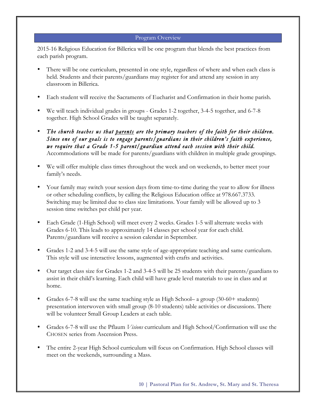### Program Overview

2015-16 Religious Education for Billerica will be one program that blends the best practices from each parish program.

- There will be one curriculum, presented in one style, regardless of where and when each class is held. Students and their parents/guardians may register for and attend any session in any classroom in Billerica.
- Each student will receive the Sacraments of Eucharist and Confirmation in their home parish.
- We will teach individual grades in groups Grades 1-2 together, 3-4-5 together, and 6-7-8 together. High School Grades will be taught separately.
- *The church teaches us that parents are the primary teachers of the faith for their children. Since one of our goals is to engage parents/guardians in their children's faith experience, we require that a Grade 1-5 parent/guardian attend each session with their child.* Accommodations will be made for parents/guardians with children in multiple grade groupings.
- We will offer multiple class times throughout the week and on weekends, to better meet your family's needs.
- Your family may switch your session days from time-to-time during the year to allow for illness or other scheduling conflicts, by calling the Religious Education office at 978.667.3733. Switching may be limited due to class size limitations. Your family will be allowed up to 3 session time switches per child per year.
- Each Grade (1-High School) will meet every 2 weeks. Grades 1-5 will alternate weeks with Grades 6-10. This leads to approximately 14 classes per school year for each child. Parents/guardians will receive a session calendar in September.
- Grades 1-2 and 3-4-5 will use the same style of age-appropriate teaching and same curriculum. This style will use interactive lessons, augmented with crafts and activities.
- Our target class size for Grades 1-2 and 3-4-5 will be 25 students with their parents/guardians to assist in their child's learning. Each child will have grade level materials to use in class and at home.
- Grades 6-7-8 will use the same teaching style as High School– a group (30-60+ students) presentation interwoven with small group (8-10 students) table activities or discussions. There will be volunteer Small Group Leaders at each table.
- Grades 6-7-8 will use the Pflaum *Visions* curriculum and High School/Confirmation will use the CHOSEN series from Ascension Press.
- The entire 2-year High School curriculum will focus on Confirmation. High School classes will meet on the weekends, surrounding a Mass.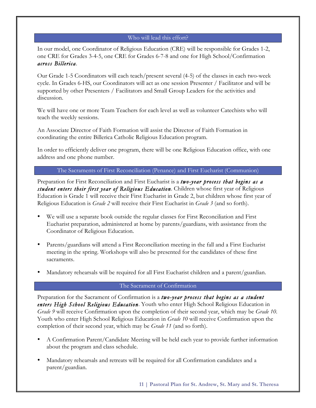#### Who will lead this effort?

In our model, one Coordinator of Religious Education (CRE) will be responsible for Grades 1-2, one CRE for Grades 3-4-5, one CRE for Grades 6-7-8 and one for High School/Confirmation *across Billerica*.

Our Grade 1-5 Coordinators will each teach/present several (4-5) of the classes in each two-week cycle. In Grades 6-HS, our Coordinators will act as one session Presenter / Facilitator and will be supported by other Presenters / Facilitators and Small Group Leaders for the activities and discussion.

We will have one or more Team Teachers for each level as well as volunteer Catechists who will teach the weekly sessions.

An Associate Director of Faith Formation will assist the Director of Faith Formation in coordinating the entire Billerica Catholic Religious Education program.

In order to efficiently deliver one program, there will be one Religious Education office, with one address and one phone number.

#### The Sacraments of First Reconciliation (Penance) and First Eucharist (Communion)

Preparation for First Reconciliation and First Eucharist is a *two-year process that begins as a student enters their first year of Religious Education*. Children whose first year of Religious Education is Grade 1 will receive their First Eucharist in Grade 2, but children whose first year of Religious Education is *Grade 2* will receive their First Eucharist in *Grade 3* (and so forth).

- We will use a separate book outside the regular classes for First Reconciliation and First Eucharist preparation, administered at home by parents/guardians, with assistance from the Coordinator of Religious Education.
- Parents/guardians will attend a First Reconciliation meeting in the fall and a First Eucharist meeting in the spring. Workshops will also be presented for the candidates of these first sacraments.
- Mandatory rehearsals will be required for all First Eucharist children and a parent/guardian.

### The Sacrament of Confirmation

Preparation for the Sacrament of Confirmation is a *two-year process that begins as a student enters High School Religious Education*. Youth who enter High School Religious Education in *Grade 9* will receive Confirmation upon the completion of their second year, which may be *Grade 10*. Youth who enter High School Religious Education in *Grade 10* will receive Confirmation upon the completion of their second year, which may be *Grade 11* (and so forth).

- A Confirmation Parent/Candidate Meeting will be held each year to provide further information about the program and class schedule.
- Mandatory rehearsals and retreats will be required for all Confirmation candidates and a parent/guardian.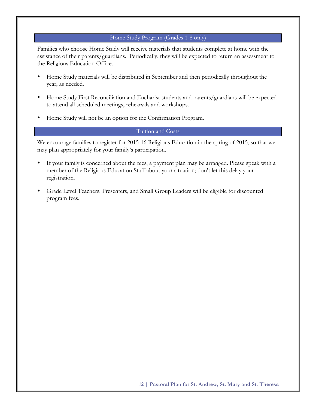#### Home Study Program (Grades 1-8 only)

Families who choose Home Study will receive materials that students complete at home with the assistance of their parents/guardians. Periodically, they will be expected to return an assessment to the Religious Education Office.

- Home Study materials will be distributed in September and then periodically throughout the year, as needed.
- Home Study First Reconciliation and Eucharist students and parents/guardians will be expected to attend all scheduled meetings, rehearsals and workshops.
- Home Study will not be an option for the Confirmation Program.

#### Tuition and Costs

We encourage families to register for 2015-16 Religious Education in the spring of 2015, so that we may plan appropriately for your family's participation.

- If your family is concerned about the fees, a payment plan may be arranged. Please speak with a member of the Religious Education Staff about your situation; don't let this delay your registration.
- Grade Level Teachers, Presenters, and Small Group Leaders will be eligible for discounted program fees.